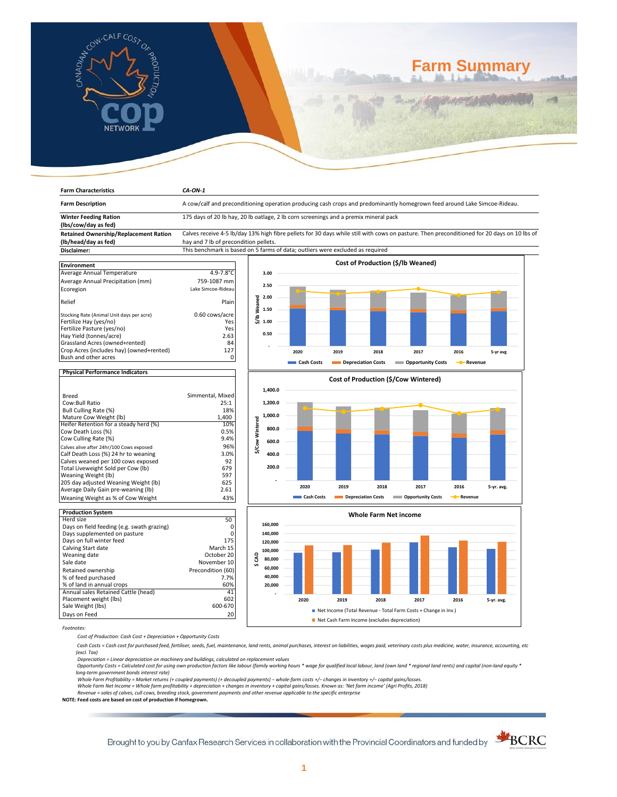

# **Farm Summary**

| <b>Farm Characteristics</b>                                      | CA-ON-1                                                                                                                                     |                 |            |                    |                              |                                                                |                         |            |  |
|------------------------------------------------------------------|---------------------------------------------------------------------------------------------------------------------------------------------|-----------------|------------|--------------------|------------------------------|----------------------------------------------------------------|-------------------------|------------|--|
| <b>Farm Description</b>                                          | A cow/calf and preconditioning operation producing cash crops and predominantly homegrown feed around Lake Simcoe-Rideau.                   |                 |            |                    |                              |                                                                |                         |            |  |
| <b>Winter Feeding Ration</b>                                     | 175 days of 20 lb hay, 20 lb oatlage, 2 lb corn screenings and a premix mineral pack                                                        |                 |            |                    |                              |                                                                |                         |            |  |
| (lbs/cow/day as fed)                                             |                                                                                                                                             |                 |            |                    |                              |                                                                |                         |            |  |
| <b>Retained Ownership/Replacement Ration</b>                     | Calves receive 4-5 lb/day 13% high fibre pellets for 30 days while still with cows on pasture. Then preconditioned for 20 days on 10 lbs of |                 |            |                    |                              |                                                                |                         |            |  |
| (lb/head/day as fed)                                             | hay and 7 lb of precondition pellets.                                                                                                       |                 |            |                    |                              |                                                                |                         |            |  |
| Disclaimer:                                                      | This benchmark is based on 5 farms of data; outliers were excluded as required                                                              |                 |            |                    |                              |                                                                |                         |            |  |
|                                                                  |                                                                                                                                             |                 |            |                    |                              |                                                                |                         |            |  |
| <b>Environment</b>                                               |                                                                                                                                             |                 |            |                    |                              | Cost of Production (\$/lb Weaned)                              |                         |            |  |
| Average Annual Temperature                                       | $4.9 - 7.8$ °C                                                                                                                              | 3.00            |            |                    |                              |                                                                |                         |            |  |
|                                                                  |                                                                                                                                             |                 |            |                    |                              |                                                                |                         |            |  |
| Average Annual Precipitation (mm)                                | 759-1087 mm                                                                                                                                 | 2.50            |            |                    |                              |                                                                |                         |            |  |
| Ecoregion                                                        | Lake Simcoe-Rideau                                                                                                                          |                 |            |                    |                              |                                                                |                         |            |  |
|                                                                  |                                                                                                                                             | 2.00            |            |                    |                              |                                                                |                         |            |  |
| Relief                                                           | Plain                                                                                                                                       | \$/lb Weaned    |            |                    |                              |                                                                |                         |            |  |
| Stocking Rate (Animal Unit days per acre)                        | 0.60 cows/acre                                                                                                                              | 1.50            |            |                    |                              |                                                                |                         |            |  |
| Fertilize Hay (yes/no)                                           | Yes                                                                                                                                         | 1.00            |            |                    |                              |                                                                |                         |            |  |
| Fertilize Pasture (yes/no)                                       | Yes                                                                                                                                         |                 |            |                    |                              |                                                                |                         |            |  |
| Hay Yield (tonnes/acre)                                          | 2.63                                                                                                                                        | 0.50            |            |                    |                              |                                                                |                         |            |  |
| Grassland Acres (owned+rented)                                   | 84                                                                                                                                          |                 |            |                    |                              |                                                                |                         |            |  |
|                                                                  | 127                                                                                                                                         |                 |            |                    |                              |                                                                |                         |            |  |
| Crop Acres (includes hay) (owned+rented)<br>Bush and other acres | 0                                                                                                                                           |                 | 2020       | 2019               | 2018                         | 2017                                                           | 2016                    | 5-yr avg   |  |
|                                                                  |                                                                                                                                             |                 | Cash Costs | Depreciation Costs |                              | <b>COPPORTUNITY COSTS</b>                                      | - Revenue               |            |  |
|                                                                  |                                                                                                                                             |                 |            |                    |                              |                                                                |                         |            |  |
| <b>Physical Performance Indicators</b>                           |                                                                                                                                             |                 |            |                    |                              |                                                                |                         |            |  |
|                                                                  |                                                                                                                                             |                 |            |                    |                              | Cost of Production (\$/Cow Wintered)                           |                         |            |  |
|                                                                  |                                                                                                                                             | 1,400.0         |            |                    |                              |                                                                |                         |            |  |
| <b>Breed</b>                                                     | Simmental, Mixed                                                                                                                            |                 |            |                    |                              |                                                                |                         |            |  |
| Cow:Bull Ratio                                                   | 25:1                                                                                                                                        | 1,200.0         |            |                    |                              |                                                                |                         |            |  |
| Bull Culling Rate (%)                                            | 18%                                                                                                                                         |                 |            |                    |                              |                                                                |                         |            |  |
| Mature Cow Weight (lb)                                           | 1,400                                                                                                                                       | 1,000.0         |            |                    |                              |                                                                |                         |            |  |
| Heifer Retention for a steady herd (%)                           | 10%                                                                                                                                         | \$/Cow Wintered |            |                    |                              |                                                                |                         |            |  |
| Cow Death Loss (%)                                               | 0.5%                                                                                                                                        | 800.0           |            |                    |                              |                                                                |                         |            |  |
| Cow Culling Rate (%)                                             | 9.4%                                                                                                                                        | 600.0           |            |                    |                              |                                                                |                         |            |  |
| Calves alive after 24hr/100 Cows exposed                         | 96%                                                                                                                                         |                 |            |                    |                              |                                                                |                         |            |  |
| Calf Death Loss (%) 24 hr to weaning                             | 3.0%                                                                                                                                        | 400.0           |            |                    |                              |                                                                |                         |            |  |
| Calves weaned per 100 cows exposed                               | 92                                                                                                                                          |                 |            |                    |                              |                                                                |                         |            |  |
| Total Liveweight Sold per Cow (lb)                               | 679                                                                                                                                         | 200.0           |            |                    |                              |                                                                |                         |            |  |
| Weaning Weight (lb)                                              | 597                                                                                                                                         |                 |            |                    |                              |                                                                |                         |            |  |
| 205 day adjusted Weaning Weight (lb)                             | 625                                                                                                                                         |                 |            |                    |                              |                                                                |                         |            |  |
| Average Daily Gain pre-weaning (lb)                              | 2.61                                                                                                                                        |                 | 2020       | 2019               | 2018                         | 2017                                                           | 2016                    | 5-yr. avg. |  |
| Weaning Weight as % of Cow Weight                                | 43%                                                                                                                                         |                 | Cash Costs |                    | Depreciation Costs           | <b>COPPORTUGITY COSTS</b>                                      | - <sup>8</sup> -Revenue |            |  |
|                                                                  |                                                                                                                                             |                 |            |                    |                              |                                                                |                         |            |  |
| <b>Production System</b>                                         |                                                                                                                                             |                 |            |                    |                              |                                                                |                         |            |  |
| Herd size                                                        | 50                                                                                                                                          |                 |            |                    | <b>Whole Farm Net income</b> |                                                                |                         |            |  |
| Days on field feeding (e.g. swath grazing)                       | 0                                                                                                                                           | 160,000         |            |                    |                              |                                                                |                         |            |  |
| Days supplemented on pasture                                     | 0                                                                                                                                           | 140.000         |            |                    |                              |                                                                |                         |            |  |
| Days on full winter feed                                         | 175                                                                                                                                         | 120,000         |            |                    |                              |                                                                |                         |            |  |
| Calving Start date                                               | March 15                                                                                                                                    |                 |            |                    |                              |                                                                |                         |            |  |
| Weaning date                                                     | October 20                                                                                                                                  | 100,000         |            |                    |                              |                                                                |                         |            |  |
| Sale date                                                        | November 10                                                                                                                                 | \$CAD<br>80,000 |            |                    |                              |                                                                |                         |            |  |
|                                                                  | Precondition (60)                                                                                                                           | 60,000          |            |                    |                              |                                                                |                         |            |  |
| Retained ownership                                               |                                                                                                                                             | 40,000          |            |                    |                              |                                                                |                         |            |  |
| % of feed purchased                                              | 7.7%                                                                                                                                        |                 |            |                    |                              |                                                                |                         |            |  |
| % of land in annual crops                                        | 60%                                                                                                                                         | 20,000          |            |                    |                              |                                                                |                         |            |  |
| Annual sales Retained Cattle (head)                              | 41                                                                                                                                          |                 |            |                    |                              |                                                                |                         |            |  |
| Placement weight (lbs)                                           | 602                                                                                                                                         |                 | 2020       | 2019               | 2018                         | 2017                                                           | 2016                    | 5-yr. avg. |  |
| Sale Weight (lbs)                                                | 600-670                                                                                                                                     |                 |            |                    |                              | Net Income (Total Revenue - Total Farm Costs + Change in Inv.) |                         |            |  |
| Days on Feed                                                     | 20                                                                                                                                          |                 |            |                    |                              |                                                                |                         |            |  |
|                                                                  | Net Cash Farm Income (excludes depreciation)                                                                                                |                 |            |                    |                              |                                                                |                         |            |  |

Days on Feed *Footnotes:*

*Cost of Production: Cash Cost + Depreciation + Opportunity Costs*

 *Cash Costs = Cash cost for purchased feed, fertiliser, seeds, fuel, maintenance, land rents, animal purchases, interest on liabilities, wages paid, veterinary costs plus medicine, water, insurance, accounting, etc* 

*Depreciation = Linear depreciation on machinery and buildings, calculated on replacement values (excl. Tax)* 

 *Opportunity Costs = Calculated cost for using own production factors like labour (family working hours \* wage for qualified local labour, land (own land \* regional land rents) and capital (non-land equity \* long-term government bonds interest rate)* 

*Whole Farm Profitability = Market returns (+ coupled payments) (+ decoupled payments) − whole-farm costs +/− changes in inventory +/− capital gains/losses.*

Whole Farm Net Income = Whole farm profitability + depreciation + changes in inventory + capital gains/losses. Known as: 'Net farm income' (Agri Profits, 2018)<br>Revenue = sales of calves, cull cows, breeding stock, governme

**NOTE: Feed costs are based on cost of production if homegrown.**

Brought to you by Canfax Research Services in collaboration with the Provincial Coordinators and funded by **SCRC** 

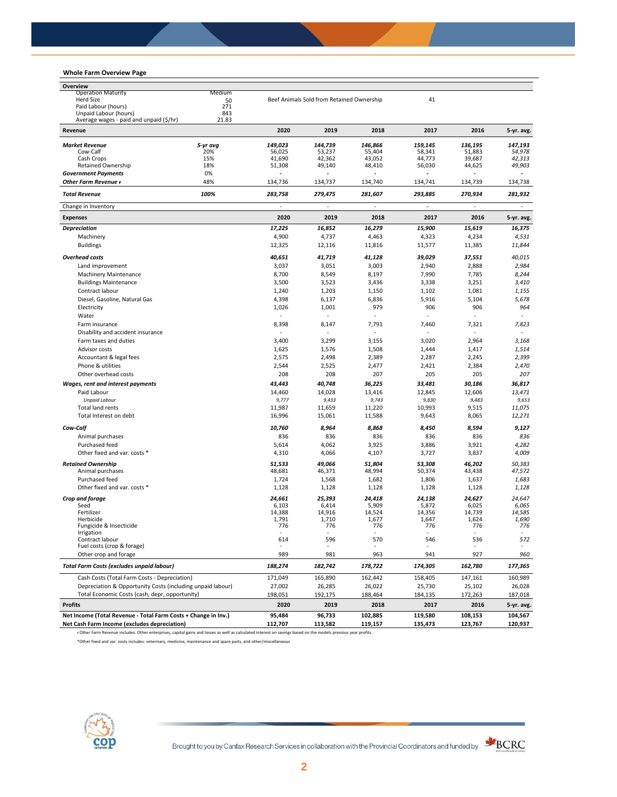## **Whole Farm Overview Page**

| Overview                                                       |                 |                          |                                           |                   |                  |                  |                          |
|----------------------------------------------------------------|-----------------|--------------------------|-------------------------------------------|-------------------|------------------|------------------|--------------------------|
| <b>Operation Maturity</b>                                      | Medium          |                          |                                           |                   |                  |                  |                          |
| <b>Herd Size</b><br>Paid Labour (hours)                        | 50<br>271       |                          | Beef Animals Sold from Retained Ownership |                   | 41               |                  |                          |
| Unpaid Labour (hours)                                          | 843             |                          |                                           |                   |                  |                  |                          |
| Average wages - paid and unpaid (\$/hr)<br>Revenue             | 21.83           | 2020                     | 2019                                      | 2018              | 2017             | 2016             |                          |
|                                                                |                 |                          |                                           |                   |                  |                  | 5-yr. avg.               |
| <b>Market Revenue</b><br>Cow-Calf                              | 5-yr avg<br>20% | 149,023                  | 144,739                                   | 146,866<br>55,404 | 159,145          | 136,195          | 147,193<br>54,978        |
| Cash Crops                                                     | 15%             | 56,025<br>41,690         | 53,237<br>42,362                          | 43,052            | 58,341<br>44,773 | 51,883<br>39,687 | 42,313                   |
| Retained Ownership                                             | 18%             | 51,308                   | 49,140                                    | 48,410            | 56,030           | 44,625           | 49,903                   |
| <b>Government Payments</b>                                     | 0%              |                          |                                           |                   |                  |                  |                          |
| Other Farm Revenue +                                           | 48%             | 134,736                  | 134,737                                   | 134,740           | 134,741          | 134,739          | 134,738                  |
| <b>Total Revenue</b>                                           | 100%            | 283,758                  | 279,475                                   | 281.607           | 293,885          | 270,934          | 281,932                  |
| Change in Inventory                                            |                 | ä,                       | ä,                                        | ÷,                | $\sim$           | $\sim$           | ä,                       |
| <b>Expenses</b>                                                |                 | 2020                     | 2019                                      | 2018              | 2017             | 2016             | 5-yr. avg.               |
| <b>Depreciation</b><br>Machinery                               |                 | 17,225<br>4,900          | 16,852<br>4,737                           | 16,279<br>4,463   | 15,900<br>4,323  | 15,619<br>4,234  | 16,375                   |
| <b>Buildings</b>                                               |                 | 12,325                   | 12,116                                    | 11,816            | 11,577           | 11,385           | 4,531<br>11,844          |
| <b>Overhead costs</b>                                          |                 |                          |                                           |                   | 39,029           | 37,551           | 40,015                   |
| Land improvement                                               |                 | 40,651<br>3,037          | 41,719<br>3,051                           | 41,128<br>3,003   | 2,940            | 2,888            | 2,984                    |
| <b>Machinery Maintenance</b>                                   |                 | 8,700                    | 8,549                                     | 8,197             | 7,990            | 7,785            | 8,244                    |
| <b>Buildings Maintenance</b>                                   |                 | 3,500                    | 3,523                                     | 3,436             | 3,338            | 3,251            | 3,410                    |
| Contract labour                                                |                 | 1,240                    | 1,203                                     | 1,150             | 1,102            | 1,081            | 1,155                    |
| Diesel, Gasoline, Natural Gas                                  |                 | 4,398                    | 6,137                                     | 6,836             | 5,916            | 5,104            | 5,678                    |
| Electricity                                                    |                 | 1,026                    | 1,001                                     | 979               | 906              | 906              | 964                      |
| Water                                                          |                 | ä,                       | $\overline{a}$                            |                   |                  |                  |                          |
| Farm insurance                                                 |                 | 8,398                    | 8,147                                     | 7,791             | 7,460            | 7,321            | 7,823                    |
| Disability and accident insurance                              |                 | $\overline{\phantom{a}}$ |                                           |                   |                  |                  | $\overline{\phantom{a}}$ |
| Farm taxes and duties                                          |                 | 3,400                    | 3,299                                     | 3,155             | 3,020            | 2,964            | 3,168                    |
| Advisor costs                                                  |                 | 1,625                    | 1,576                                     | 1,508             | 1,444            | 1,417            | 1,514                    |
| Accountant & legal fees                                        |                 | 2,575                    | 2,498                                     | 2,389             | 2,287            | 2,245            | 2,399                    |
| Phone & utilities                                              |                 | 2,544                    | 2,525                                     | 2,477             | 2,421            | 2,384            | 2,470                    |
| Other overhead costs                                           |                 | 208                      | 208                                       | 207               | 205              | 205              | 207                      |
| Wages, rent and interest payments                              |                 | 43,443                   | 40,748                                    | 36,225            | 33,481           | 30,186           | 36,817                   |
| Paid Labour                                                    |                 | 14,460                   | 14,028                                    | 13,416            | 12,845           | 12,606           | 13,471                   |
| <b>Unpaid Labour</b>                                           |                 | 9,777                    | 9,433                                     | 9,743             | 9,830            | 9,483            | 9,653                    |
| Total land rents                                               |                 | 11,987                   | 11,659                                    | 11,220            | 10,993           | 9,515            | 11,075                   |
| Total Interest on debt                                         |                 | 16,996                   | 15,061                                    | 11,588            | 9,643            | 8,065            | 12,271                   |
| Cow-Calf                                                       |                 | 10,760                   | 8,964                                     | 8,868             | 8,450            | 8,594            | 9,127                    |
| Animal purchases                                               |                 | 836                      | 836                                       | 836               | 836              | 836              | 836                      |
| Purchased feed                                                 |                 | 5,614                    | 4,062                                     | 3,925             | 3,886            | 3,921            | 4,282                    |
| Other fixed and var. costs *                                   |                 | 4,310                    | 4,066                                     | 4,107             | 3,727            | 3,837            | 4,009                    |
| <b>Retained Ownership</b>                                      |                 | 51,533                   | 49,066                                    | 51,804            | 53,308           | 46,202           | 50,383                   |
| Animal purchases                                               |                 | 48,681                   | 46,371                                    | 48,994            | 50,374           | 43,438           | 47,572                   |
| Purchased feed                                                 |                 | 1,724                    | 1,568                                     | 1,682             | 1,806            | 1,637            | 1,683                    |
| Other fixed and var. costs *                                   |                 | 1,128                    | 1,128                                     | 1,128             | 1,128            | 1,128            | 1,128                    |
| Crop and forage                                                |                 | 24,661                   | 25,393                                    | 24,418            | 24,138           | 24,627           | 24,647                   |
| Seed                                                           |                 | 6,103                    | 6,414                                     | 5,909             | 5,872            | 6,025            | 6,065                    |
| Fertilizer<br>Herbicide                                        |                 | 14,388<br>1,791          | 14,916<br>1,710                           | 14,524<br>1,677   | 14,356<br>1,647  | 14,739<br>1,624  | 14,585<br>1,690          |
| Fungicide & Insecticide                                        |                 | 776                      | 776                                       | 776               | 776              | 776              | 776                      |
| Irrigation                                                     |                 |                          |                                           |                   |                  |                  |                          |
| Contract labour                                                |                 | 614                      | 596                                       | 570               | 546              | 536              | 572                      |
| Fuel costs (crop & forage)<br>Other crop and forage            |                 | 989                      | 981                                       | 963               | 941              | 927              | 960                      |
| Total Farm Costs (excludes unpaid labour)                      |                 | 188,274                  | 182,742                                   | 178,722           | 174,305          | 162,780          | 177,365                  |
| Cash Costs (Total Farm Costs - Depreciation)                   |                 | 171,049                  | 165,890                                   | 162,442           | 158,405          | 147,161          | 160,989                  |
| Depreciation & Opportunity Costs (including unpaid labour)     |                 | 27,002                   | 26,285                                    | 26,022            | 25,730           | 25,102           | 26,028                   |
| Total Economic Costs (cash, depr, opportunity)                 |                 | 198,051                  | 192,175                                   | 188,464           | 184,135          | 172,263          | 187,018                  |
| <b>Profits</b>                                                 |                 | 2020                     | 2019                                      | 2018              | 2017             | 2016             | 5-yr. avg.               |
| Net Income (Total Revenue - Total Farm Costs + Change in Inv.) |                 | 95,484                   | 96,733                                    | 102,885           | 119,580          | 108,153          | 104,567                  |
| Net Cash Farm Income (excludes depreciation)                   |                 | 112,707                  | 113,582                                   | 119,157           | 135,473          | 123,767          | 120,937                  |

ᵻ Other Farm Revenue includes: Other enterprises, capital gains and losses as well as calculated interest on savings based on the models previous year profits.

\*Other fixed and var. costs includes: veterinary, medicine, maintenance and spare parts, and other/miscellaneous



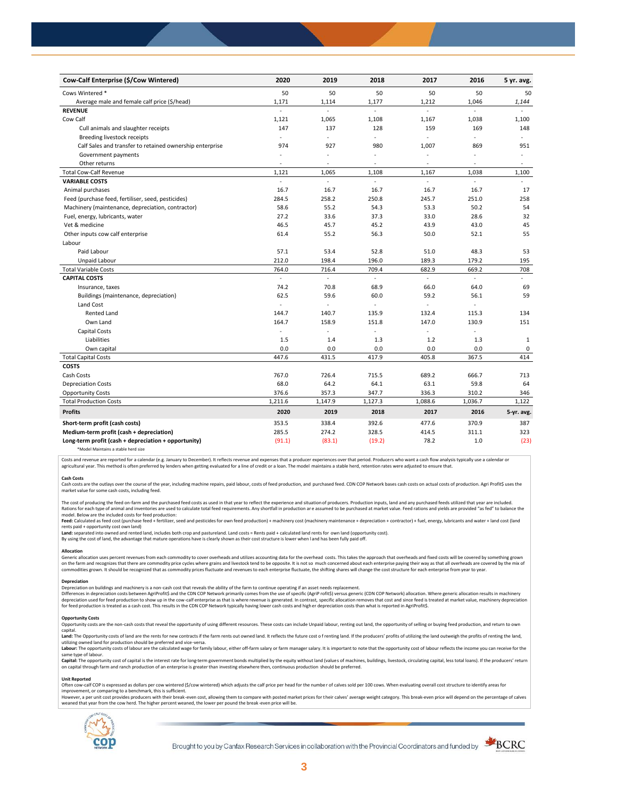| Cow-Calf Enterprise (\$/Cow Wintered)                    | 2020           | 2019                     | 2018                     | 2017    | 2016           | 5 yr. avg.               |
|----------------------------------------------------------|----------------|--------------------------|--------------------------|---------|----------------|--------------------------|
| Cows Wintered *                                          | 50             | 50                       | 50                       | 50      | 50             | 50                       |
| Average male and female calf price (\$/head)             | 1,171          | 1,114                    | 1,177                    | 1,212   | 1,046          | 1,144                    |
| <b>REVENUE</b>                                           | $\overline{a}$ | $\overline{a}$           | ä,                       | L.      | $\overline{a}$ |                          |
| Cow Calf                                                 | 1,121          | 1,065                    | 1,108                    | 1,167   | 1,038          | 1,100                    |
| Cull animals and slaughter receipts                      | 147            | 137                      | 128                      | 159     | 169            | 148                      |
| Breeding livestock receipts                              | ÷              | ä,                       | ÷.                       | ä,      | ÷,             | ÷                        |
| Calf Sales and transfer to retained ownership enterprise | 974            | 927                      | 980                      | 1,007   | 869            | 951                      |
| Government payments                                      | ÷,             | ÷,                       | $\ddot{\phantom{1}}$     | $\sim$  | ÷,             | $\bar{a}$                |
| Other returns                                            | ٠              | $\overline{\phantom{a}}$ | $\overline{\phantom{a}}$ | $\sim$  | $\sim$         | $\overline{\phantom{a}}$ |
| <b>Total Cow-Calf Revenue</b>                            | 1,121          | 1,065                    | 1,108                    | 1,167   | 1,038          | 1,100                    |
| <b>VARIABLE COSTS</b>                                    | ÷.             | L.                       | $\mathcal{L}$            | ÷,      | ä,             | $\omega$                 |
| Animal purchases                                         | 16.7           | 16.7                     | 16.7                     | 16.7    | 16.7           | 17                       |
| Feed (purchase feed, fertiliser, seed, pesticides)       | 284.5          | 258.2                    | 250.8                    | 245.7   | 251.0          | 258                      |
| Machinery (maintenance, depreciation, contractor)        | 58.6           | 55.2                     | 54.3                     | 53.3    | 50.2           | 54                       |
| Fuel, energy, lubricants, water                          | 27.2           | 33.6                     | 37.3                     | 33.0    | 28.6           | 32                       |
| Vet & medicine                                           | 46.5           | 45.7                     | 45.2                     | 43.9    | 43.0           | 45                       |
| Other inputs cow calf enterprise                         | 61.4           | 55.2                     | 56.3                     | 50.0    | 52.1           | 55                       |
| Labour                                                   |                |                          |                          |         |                |                          |
| Paid Labour                                              | 57.1           | 53.4                     | 52.8                     | 51.0    | 48.3           | 53                       |
| Unpaid Labour                                            | 212.0          | 198.4                    | 196.0                    | 189.3   | 179.2          | 195                      |
| <b>Total Variable Costs</b>                              | 764.0          | 716.4                    | 709.4                    | 682.9   | 669.2          | 708                      |
| <b>CAPITAL COSTS</b>                                     |                |                          |                          |         |                |                          |
| Insurance, taxes                                         | 74.2           | 70.8                     | 68.9                     | 66.0    | 64.0           | 69                       |
| Buildings (maintenance, depreciation)                    | 62.5           | 59.6                     | 60.0                     | 59.2    | 56.1           | 59                       |
| Land Cost                                                | ÷.             | ä,                       |                          |         |                |                          |
| <b>Rented Land</b>                                       | 144.7          | 140.7                    | 135.9                    | 132.4   | 115.3          | 134                      |
| Own Land                                                 | 164.7          | 158.9                    | 151.8                    | 147.0   | 130.9          | 151                      |
| Capital Costs                                            | L.             | L,                       | L.                       | ä,      | ÷.             |                          |
| Liabilities                                              | 1.5            | 1.4                      | 1.3                      | 1.2     | 1.3            | $\mathbf{1}$             |
| Own capital                                              | 0.0            | 0.0                      | 0.0                      | 0.0     | 0.0            | $\mathsf 0$              |
| <b>Total Capital Costs</b>                               | 447.6          | 431.5                    | 417.9                    | 405.8   | 367.5          | 414                      |
| <b>COSTS</b>                                             |                |                          |                          |         |                |                          |
| Cash Costs                                               | 767.0          | 726.4                    | 715.5                    | 689.2   | 666.7          | 713                      |
| <b>Depreciation Costs</b>                                | 68.0           | 64.2                     | 64.1                     | 63.1    | 59.8           | 64                       |
| <b>Opportunity Costs</b>                                 | 376.6          | 357.3                    | 347.7                    | 336.3   | 310.2          | 346                      |
| <b>Total Production Costs</b>                            | 1,211.6        | 1,147.9                  | 1,127.3                  | 1,088.6 | 1,036.7        | 1,122                    |
| <b>Profits</b>                                           | 2020           | 2019                     | 2018                     | 2017    | 2016           | 5-yr. avg.               |
| Short-term profit (cash costs)                           | 353.5          | 338.4                    | 392.6                    | 477.6   | 370.9          | 387                      |
| Medium-term profit (cash + depreciation)                 | 285.5          | 274.2                    | 328.5                    | 414.5   | 311.1          | 323                      |
| Long-term profit (cash + depreciation + opportunity)     | (91.1)         | (83.1)                   | (19.2)                   | 78.2    | 1.0            | (23)                     |
|                                                          |                |                          |                          |         |                |                          |

\*Model Maintains a stable herd size

Costs and revenue are reported for a calendar (e.g. January to December). It reflects revenue and expenses that a producer experiences over that period. Producers who want a cash flow analysis typically use a calendar or agricultural year. This method is often preferred by lenders when getting evaluated for a line of credit or a loan. The model maintains a stable herd, retention rates were adjusted to ensure that

C<mark>ash Costs</mark><br>Cash costs are the outlays over the course of the year, including machine repairs, paid labour, costs of feed production, and purchased feed. CDN COP Network bases cash costs on actual costs of production. Agr market value for some cash costs, including feed.

The cost of producing the feed on-farm and the purchased feed costs as used in that year to reflect the experience and situation of producers. Production inputs, land and any purchased feeds utilized that year are included model. Below are the included costs for feed production:

### moder.outwhat was made used to receip would continuour.<br>**Feed:** Calculated as feed cost (purchase feed + fertilizer, seed and pesticides for own feed production) + machinery cost (machinery maintenance + depreciation + con rents paid + opportunity cost own land)

**Land:** separated into owned and rented land, includes both crop and pastureland. Land costs = Rents paid + calculated land rents for own land (opportunity cost).

By using the cost of land, the advantage that mature operations have is clearly shown as their cost structure is lower when l and has been fully paid off.

#### **Allocation**

Generic allocation uses percent revenues from each commodity to cover overheads and utilizes accounting data for the overhead costs. This takes the approach that overheads and fixed costs will be covered by something grown commodities grown. It should be recognized that as commodity prices fluctuate and revenues to each enterprise fluctuate, the shifting shares will change the cost structure for each enterprise from year to year.

## **Depreciation**

Depreciation on buildings and machinery is a non-cash cost that reveals the ability of the farm to continue operating if an asset needs replacement. Differences in depreciation costs between AgriProfit\$ and the CDN COP Network primarily comes from the use of specific (AgriP rofit\$) versus generic (CDN COP Network) allocation. Where generic allocation results in machine

#### **Opportunity Costs**

Provincing COSS are the non-cash costs that reveal the opportunity of using different resources. These costs can include Unpaid labour, renting out land, the opportunity of selling or buying feed production, and return to capital.

required.<br>Land: The Opportunity costs of land are the rents for new contracts if the farm rents out owned land. It reflects the future cost of renting land. If the producers' profits of utilizing the land outweigh the prof utilizing owned land for production should be preferred and vice-versa.<br>**Labour:** The opportunity costs of labour are the calculated wage for family labour, either off-farm salary or farm manager salary. It is important to

same type of labour.

**Capita**l: The opportunity cost of capital is the interest rate for long-term government bonds multiplied by the equity without land (values of machines, buildings, livestock, circulating capital, less total loans). If the

#### **Unit Reported**

Often cow-calf COP is expressed as dollars per cow wintered (\$/cow wintered) which adjusts the calf price per head for the number of calves sold per 100 cows. When evaluating overall cost structure to identify areas for<br>im

however..export of the structure with the structure of the break-even cost. allowing them to compare with posted market prices for their calves' average weight category. This break-even price will depend on the percentage weaned that year from the cow herd. The higher percent weaned, the lower per pound the break -even price will be.



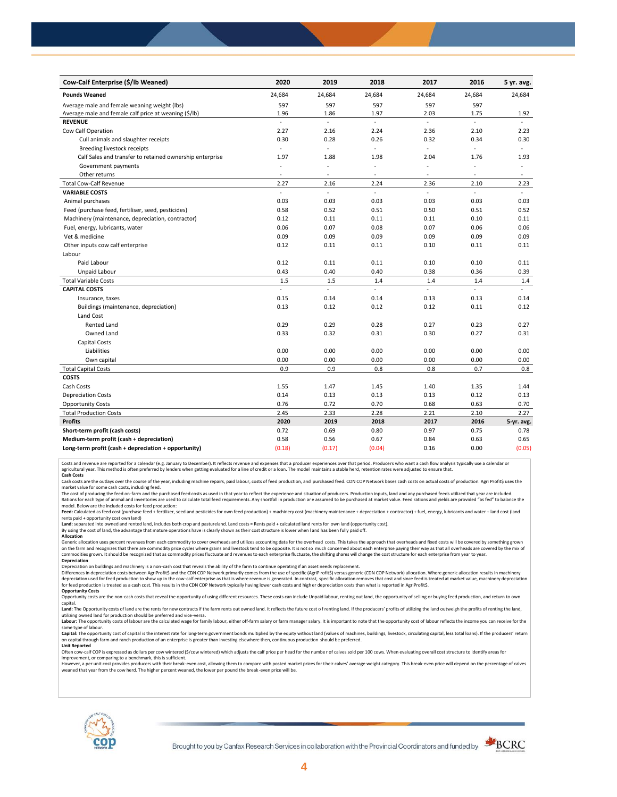| Cow-Calf Enterprise (\$/lb Weaned)                       | 2020                     | 2019                     | 2018           | 2017   | 2016           | 5 yr. avg.     |
|----------------------------------------------------------|--------------------------|--------------------------|----------------|--------|----------------|----------------|
| <b>Pounds Weaned</b>                                     | 24,684                   | 24,684                   | 24,684         | 24,684 | 24,684         | 24,684         |
| Average male and female weaning weight (lbs)             | 597                      | 597                      | 597            | 597    | 597            |                |
| Average male and female calf price at weaning (\$/lb)    | 1.96                     | 1.86                     | 1.97           | 2.03   | 1.75           | 1.92           |
| <b>REVENUE</b>                                           | ä,                       | L.                       | $\overline{a}$ | ä,     | $\overline{a}$ |                |
| Cow Calf Operation                                       | 2.27                     | 2.16                     | 2.24           | 2.36   | 2.10           | 2.23           |
| Cull animals and slaughter receipts                      | 0.30                     | 0.28                     | 0.26           | 0.32   | 0.34           | 0.30           |
| Breeding livestock receipts                              | $\sim$                   | ä,                       | ÷.             | ä,     | ÷.             | $\blacksquare$ |
| Calf Sales and transfer to retained ownership enterprise | 1.97                     | 1.88                     | 1.98           | 2.04   | 1.76           | 1.93           |
| Government payments                                      |                          | ÷,                       | ä,             | ÷,     |                | $\bar{a}$      |
| Other returns                                            | $\overline{\phantom{a}}$ | ٠                        | ٠              | $\sim$ | ٠              | $\sim$         |
| <b>Total Cow-Calf Revenue</b>                            | 2.27                     | 2.16                     | 2.24           | 2.36   | 2.10           | 2.23           |
| <b>VARIABLE COSTS</b>                                    | $\sim$                   | $\overline{\phantom{a}}$ | L.             | L.     | $\overline{a}$ | $\mathbf{r}$   |
| Animal purchases                                         | 0.03                     | 0.03                     | 0.03           | 0.03   | 0.03           | 0.03           |
| Feed (purchase feed, fertiliser, seed, pesticides)       | 0.58                     | 0.52                     | 0.51           | 0.50   | 0.51           | 0.52           |
| Machinery (maintenance, depreciation, contractor)        | 0.12                     | 0.11                     | 0.11           | 0.11   | 0.10           | 0.11           |
| Fuel, energy, lubricants, water                          | 0.06                     | 0.07                     | 0.08           | 0.07   | 0.06           | 0.06           |
| Vet & medicine                                           | 0.09                     | 0.09                     | 0.09           | 0.09   | 0.09           | 0.09           |
| Other inputs cow calf enterprise                         | 0.12                     | 0.11                     | 0.11           | 0.10   | 0.11           | 0.11           |
| Labour                                                   |                          |                          |                |        |                |                |
| Paid Labour                                              | 0.12                     | 0.11                     | 0.11           | 0.10   | 0.10           | 0.11           |
| Unpaid Labour                                            | 0.43                     | 0.40                     | 0.40           | 0.38   | 0.36           | 0.39           |
| <b>Total Variable Costs</b>                              | 1.5                      | 1.5                      | 1.4            | 1.4    | 1.4            | 1.4            |
| <b>CAPITAL COSTS</b>                                     | ä,                       | L.                       | $\mathcal{L}$  | L.     | $\overline{a}$ | $\omega$ .     |
| Insurance, taxes                                         | 0.15                     | 0.14                     | 0.14           | 0.13   | 0.13           | 0.14           |
| Buildings (maintenance, depreciation)                    | 0.13                     | 0.12                     | 0.12           | 0.12   | 0.11           | 0.12           |
| Land Cost                                                |                          |                          |                |        |                |                |
| <b>Rented Land</b>                                       | 0.29                     | 0.29                     | 0.28           | 0.27   | 0.23           | 0.27           |
| Owned Land                                               | 0.33                     | 0.32                     | 0.31           | 0.30   | 0.27           | 0.31           |
| Capital Costs                                            |                          |                          |                |        |                |                |
| Liabilities                                              | 0.00                     | 0.00                     | 0.00           | 0.00   | 0.00           | 0.00           |
| Own capital                                              | 0.00                     | 0.00                     | 0.00           | 0.00   | 0.00           | 0.00           |
| <b>Total Capital Costs</b>                               | 0.9                      | 0.9                      | 0.8            | 0.8    | 0.7            | 0.8            |
| <b>COSTS</b>                                             |                          |                          |                |        |                |                |
| Cash Costs                                               | 1.55                     | 1.47                     | 1.45           | 1.40   | 1.35           | 1.44           |
| <b>Depreciation Costs</b>                                | 0.14                     | 0.13                     | 0.13           | 0.13   | 0.12           | 0.13           |
| <b>Opportunity Costs</b>                                 | 0.76                     | 0.72                     | 0.70           | 0.68   | 0.63           | 0.70           |
| <b>Total Production Costs</b>                            | 2.45                     | 2.33                     | 2.28           | 2.21   | 2.10           | 2.27           |
| <b>Profits</b>                                           | 2020                     | 2019                     | 2018           | 2017   | 2016           | 5-yr. avg.     |
| Short-term profit (cash costs)                           | 0.72                     | 0.69                     | 0.80           | 0.97   | 0.75           | 0.78           |
| Medium-term profit (cash + depreciation)                 | 0.58                     | 0.56                     | 0.67           | 0.84   | 0.63           | 0.65           |
| Long-term profit (cash + depreciation + opportunity)     | (0.18)                   | (0.17)                   | (0.04)         | 0.16   | 0.00           | (0.05)         |

Costs and revenue are reported for a calendar (e.g. January to December). It reflects revenue and expenses that a producer experiences over that period. Producers who want a cash flow analysis typically use a calendar or<br>a

cash costs are the outlays over the course of the year, including machine repairs, paid labour, costs of feed production, and purchased feed. CDN COP Network bases cash costs on actual costs of production. Agri Profit\$ use market value for some cash costs, including feed.

The cost of producing the feed on-farm and the purchased feed costs as used in that year to reflect the experience and situation of producers. Production inputs, land and any purchased feeds utilized that year are included model. Below are the included costs for feed production:

Feed: Calculated as feed cost (purchase feed + fertilizer, seed and pesticides for own feed production) + machinery cost (machinery maintenance + depreciation + contractor) + fuel, energy, lubricants and water + land cost

Land: separated into owned and rented land, includes both crop and pastureland. Land costs = Rents paid + calculated land rents for own land (opportunity cost).

By using the cost of land, the advantage that mature operations have is clearly shown as their cost structure is lower when l and has been fully paid off. **Allocation**

Generic allocation uses percent revenues from each commodity to cover overheads and utilizes accounting data for the overhead costs. This takes the approach that overheads and fixed costs will be covered by something grown on the farm and recognizes that there are commodity price cycles where grains and livestock tend to be opposite. It is not so much concerned about each enterprise paying their way as that all overheads are covered by the m **Depreciation**

Depreciation on buildings and machinery is a non-cash cost that reveals the ability of the farm to continue operating if an asset needs replacement.

Differences in depreciation costs between AgriProfit\$ and the CDN COP Network primarily comes from the use of specific (AgriP rofit\$) versus generic (CDN COP Network) allocation. Where generic allocation results in machine

## **Opportunity Costs**

Opportunity costs are the non-cash costs that reveal the opportunity of using different resources. These costs can include Unpaid labour, renting out land, the opportunity of selling or buying feed production, and return t Land: The Opportunity costs of land are the rents for new contracts if the farm rents out owned land. It reflects the future cost of renting land. If the producers' profits of utilizing the land outweigh the profits of ren

utilizing owned land for production should be preferred and vice-versa.<br>**Labour:** The opportunity costs of labour are the calculated wage for family labour, either off-farm salary or farm manager salary. It is important to same type of labour.

Capital: The opportunity cost of capital is the interest rate for long-term government bonds multiplied by the equity without land (values of machines, buildings, livestock, circulating capital, less total loans). If the p on capital through farm and ranch production of an enterprise is greater than investing elsewhere then, continuous production should be preferred. **Unit Reported**

Often cow-calf COP is expressed as dollars per cow wintered (\$/cow wintered) which adjusts the calf price per head for the numbe r of calves sold per 100 cows. When evaluating overall cost structure to identify areas for

improvement, or comparing to a benchmark, this is sufficient.<br>However, a per unit cost provides producers with their break-even cost, allowing them to compare with posted market prices for their calves' average weight cate weaned that year from the cow herd. The higher percent weaned, the lower per pound the break -even price will be.



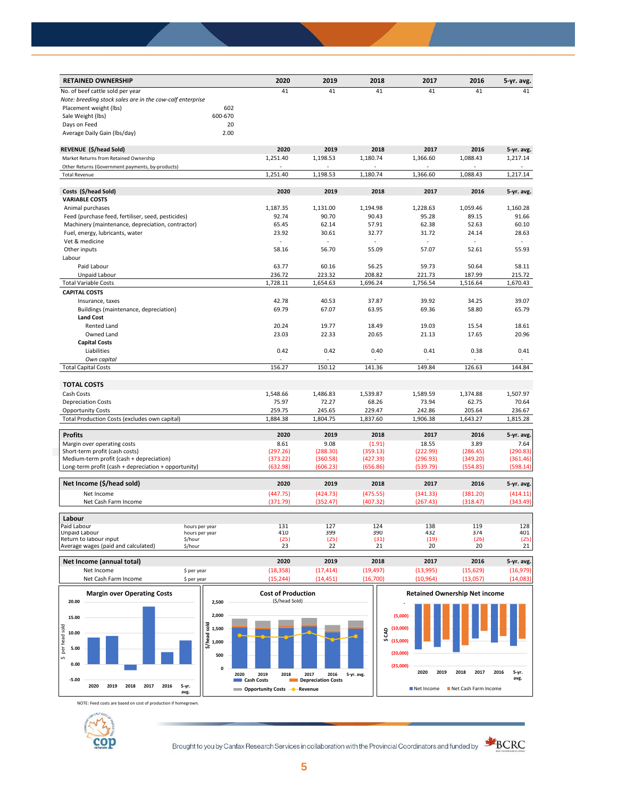| 41<br>41<br>41<br>No. of beef cattle sold per year<br>41<br>41<br>41<br>Note: breeding stock sales are in the cow-calf enterprise<br>Placement weight (lbs)<br>602<br>600-670<br>Sale Weight (lbs)<br>20<br>Days on Feed<br>2.00<br>Average Daily Gain (Ibs/day)<br>2020<br>2019<br>2018<br>2017<br>2016<br>REVENUE (\$/head Sold)<br>5-yr. avg.<br>1,251.40<br>1,198.53<br>1,180.74<br>1,088.43<br>1,366.60<br>1,217.14<br>Market Returns from Retained Ownership<br>Other Returns (Government payments, by-products)<br>$\sim$<br>÷.<br>1,251.40<br>1,198.53<br>1,088.43<br>1,217.14<br>1,180.74<br>1,366.60<br><b>Total Revenue</b><br>2020<br>2019<br>2018<br>2017<br>Costs (\$/head Sold)<br>2016<br>5-yr. avg.<br><b>VARIABLE COSTS</b><br>1,187.35<br>1,194.98<br>1,228.63<br>1,059.46<br>1,160.28<br>Animal purchases<br>1,131.00<br>Feed (purchase feed, fertiliser, seed, pesticides)<br>92.74<br>90.70<br>90.43<br>95.28<br>89.15<br>91.66<br>62.38<br>60.10<br>Machinery (maintenance, depreciation, contractor)<br>65.45<br>62.14<br>57.91<br>52.63<br>23.92<br>30.61<br>32.77<br>31.72<br>24.14<br>28.63<br>Fuel, energy, lubricants, water<br>Vet & medicine<br>ä,<br>÷.<br>ä,<br>55.93<br>Other inputs<br>58.16<br>56.70<br>55.09<br>57.07<br>52.61<br>Labour<br>63.77<br>58.11<br>Paid Labour<br>60.16<br>56.25<br>59.73<br>50.64<br>236.72<br>223.32<br>208.82<br>221.73<br>187.99<br>215.72<br>Unpaid Labour<br><b>Total Variable Costs</b><br>1,728.11<br>1,654.63<br>1,756.54<br>1,516.64<br>1,670.43<br>1,696.24<br><b>CAPITAL COSTS</b><br>42.78<br>40.53<br>37.87<br>39.92<br>39.07<br>Insurance, taxes<br>34.25<br>Buildings (maintenance, depreciation)<br>69.79<br>67.07<br>63.95<br>69.36<br>58.80<br>65.79<br><b>Land Cost</b><br>Rented Land<br>20.24<br>19.77<br>18.49<br>19.03<br>15.54<br>18.61<br>Owned Land<br>23.03<br>22.33<br>20.65<br>21.13<br>17.65<br>20.96<br><b>Capital Costs</b><br>Liabilities<br>0.42<br>0.42<br>0.40<br>0.41<br>0.38<br>0.41<br>Own capital<br>150.12<br><b>Total Capital Costs</b><br>156.27<br>141.36<br>149.84<br>126.63<br>144.84<br><b>TOTAL COSTS</b><br>Cash Costs<br>1,548.66<br>1,486.83<br>1,539.87<br>1,589.59<br>1,374.88<br>1,507.97<br>75.97<br>72.27<br>68.26<br>73.94<br>62.75<br>70.64<br><b>Depreciation Costs</b><br><b>Opportunity Costs</b><br>259.75<br>245.65<br>229.47<br>242.86<br>205.64<br>236.67<br>Total Production Costs (excludes own capital)<br>1,884.38<br>1,804.75<br>1,837.60<br>1,906.38<br>1,643.27<br>1,815.28<br><b>Profits</b><br>2020<br>2019<br>2018<br>2017<br>2016<br>5-yr. avg.<br>9.08<br>7.64<br>Margin over operating costs<br>8.61<br>(1.91)<br>18.55<br>3.89<br>Short-term profit (cash costs)<br>(297.26)<br>(288.30)<br>(359.13)<br>(222.99)<br>(290.83)<br>(286.45)<br>Medium-term profit (cash + depreciation)<br>(373.22)<br>(360.58)<br>(427.39)<br>(296.93)<br>(349.20)<br>(361.46)<br>(598.14)<br>Long-term profit (cash + depreciation + opportunity)<br>(632.98)<br>(606.23)<br>(656.86)<br>(539.79)<br>(554.85)<br>Net Income (\$/head sold)<br>2020<br>2019<br>2018<br>2017<br>2016<br>5-yr. avg.<br>(447.75)<br>(424.73)<br>(475.55)<br>(341.33)<br>(381.20)<br>(414.11)<br>Net Income<br>(407.32)<br>(318.47)<br>(343.49)<br>Net Cash Farm Income<br>(371.79)<br>(352.47)<br>(267.43)<br>Labour<br>Paid Labour<br>131<br>127<br>124<br>138<br>119<br>128<br>hours per year<br>410<br>399<br>390<br>432<br>374<br>401<br>Unpaid Labour<br>hours per year<br>Return to labour input<br>(25)<br>(25)<br>(25)<br>(31)<br>(19)<br>(26)<br>\$/hour<br>22<br>21<br>20<br>20<br>21<br>Average wages (paid and calculated)<br>23<br>\$/hour | <b>RETAINED OWNERSHIP</b> | 2020 | 2019 | 2018 | 2017 | 2016 | 5-yr. avg. |
|--------------------------------------------------------------------------------------------------------------------------------------------------------------------------------------------------------------------------------------------------------------------------------------------------------------------------------------------------------------------------------------------------------------------------------------------------------------------------------------------------------------------------------------------------------------------------------------------------------------------------------------------------------------------------------------------------------------------------------------------------------------------------------------------------------------------------------------------------------------------------------------------------------------------------------------------------------------------------------------------------------------------------------------------------------------------------------------------------------------------------------------------------------------------------------------------------------------------------------------------------------------------------------------------------------------------------------------------------------------------------------------------------------------------------------------------------------------------------------------------------------------------------------------------------------------------------------------------------------------------------------------------------------------------------------------------------------------------------------------------------------------------------------------------------------------------------------------------------------------------------------------------------------------------------------------------------------------------------------------------------------------------------------------------------------------------------------------------------------------------------------------------------------------------------------------------------------------------------------------------------------------------------------------------------------------------------------------------------------------------------------------------------------------------------------------------------------------------------------------------------------------------------------------------------------------------------------------------------------------------------------------------------------------------------------------------------------------------------------------------------------------------------------------------------------------------------------------------------------------------------------------------------------------------------------------------------------------------------------------------------------------------------------------------------------------------------------------------------------------------------------------------------------------------------------------------------------------------------------------------------------------------------------------------------------------------------------------------------------------------------------------------------------------------------------------------------------------------------------------------------------------------------------------------------------------------------------------------------------------------------------------------------------------------|---------------------------|------|------|------|------|------|------------|
|                                                                                                                                                                                                                                                                                                                                                                                                                                                                                                                                                                                                                                                                                                                                                                                                                                                                                                                                                                                                                                                                                                                                                                                                                                                                                                                                                                                                                                                                                                                                                                                                                                                                                                                                                                                                                                                                                                                                                                                                                                                                                                                                                                                                                                                                                                                                                                                                                                                                                                                                                                                                                                                                                                                                                                                                                                                                                                                                                                                                                                                                                                                                                                                                                                                                                                                                                                                                                                                                                                                                                                                                                                                                    |                           |      |      |      |      |      |            |
|                                                                                                                                                                                                                                                                                                                                                                                                                                                                                                                                                                                                                                                                                                                                                                                                                                                                                                                                                                                                                                                                                                                                                                                                                                                                                                                                                                                                                                                                                                                                                                                                                                                                                                                                                                                                                                                                                                                                                                                                                                                                                                                                                                                                                                                                                                                                                                                                                                                                                                                                                                                                                                                                                                                                                                                                                                                                                                                                                                                                                                                                                                                                                                                                                                                                                                                                                                                                                                                                                                                                                                                                                                                                    |                           |      |      |      |      |      |            |
|                                                                                                                                                                                                                                                                                                                                                                                                                                                                                                                                                                                                                                                                                                                                                                                                                                                                                                                                                                                                                                                                                                                                                                                                                                                                                                                                                                                                                                                                                                                                                                                                                                                                                                                                                                                                                                                                                                                                                                                                                                                                                                                                                                                                                                                                                                                                                                                                                                                                                                                                                                                                                                                                                                                                                                                                                                                                                                                                                                                                                                                                                                                                                                                                                                                                                                                                                                                                                                                                                                                                                                                                                                                                    |                           |      |      |      |      |      |            |
|                                                                                                                                                                                                                                                                                                                                                                                                                                                                                                                                                                                                                                                                                                                                                                                                                                                                                                                                                                                                                                                                                                                                                                                                                                                                                                                                                                                                                                                                                                                                                                                                                                                                                                                                                                                                                                                                                                                                                                                                                                                                                                                                                                                                                                                                                                                                                                                                                                                                                                                                                                                                                                                                                                                                                                                                                                                                                                                                                                                                                                                                                                                                                                                                                                                                                                                                                                                                                                                                                                                                                                                                                                                                    |                           |      |      |      |      |      |            |
|                                                                                                                                                                                                                                                                                                                                                                                                                                                                                                                                                                                                                                                                                                                                                                                                                                                                                                                                                                                                                                                                                                                                                                                                                                                                                                                                                                                                                                                                                                                                                                                                                                                                                                                                                                                                                                                                                                                                                                                                                                                                                                                                                                                                                                                                                                                                                                                                                                                                                                                                                                                                                                                                                                                                                                                                                                                                                                                                                                                                                                                                                                                                                                                                                                                                                                                                                                                                                                                                                                                                                                                                                                                                    |                           |      |      |      |      |      |            |
|                                                                                                                                                                                                                                                                                                                                                                                                                                                                                                                                                                                                                                                                                                                                                                                                                                                                                                                                                                                                                                                                                                                                                                                                                                                                                                                                                                                                                                                                                                                                                                                                                                                                                                                                                                                                                                                                                                                                                                                                                                                                                                                                                                                                                                                                                                                                                                                                                                                                                                                                                                                                                                                                                                                                                                                                                                                                                                                                                                                                                                                                                                                                                                                                                                                                                                                                                                                                                                                                                                                                                                                                                                                                    |                           |      |      |      |      |      |            |
|                                                                                                                                                                                                                                                                                                                                                                                                                                                                                                                                                                                                                                                                                                                                                                                                                                                                                                                                                                                                                                                                                                                                                                                                                                                                                                                                                                                                                                                                                                                                                                                                                                                                                                                                                                                                                                                                                                                                                                                                                                                                                                                                                                                                                                                                                                                                                                                                                                                                                                                                                                                                                                                                                                                                                                                                                                                                                                                                                                                                                                                                                                                                                                                                                                                                                                                                                                                                                                                                                                                                                                                                                                                                    |                           |      |      |      |      |      |            |
|                                                                                                                                                                                                                                                                                                                                                                                                                                                                                                                                                                                                                                                                                                                                                                                                                                                                                                                                                                                                                                                                                                                                                                                                                                                                                                                                                                                                                                                                                                                                                                                                                                                                                                                                                                                                                                                                                                                                                                                                                                                                                                                                                                                                                                                                                                                                                                                                                                                                                                                                                                                                                                                                                                                                                                                                                                                                                                                                                                                                                                                                                                                                                                                                                                                                                                                                                                                                                                                                                                                                                                                                                                                                    |                           |      |      |      |      |      |            |
|                                                                                                                                                                                                                                                                                                                                                                                                                                                                                                                                                                                                                                                                                                                                                                                                                                                                                                                                                                                                                                                                                                                                                                                                                                                                                                                                                                                                                                                                                                                                                                                                                                                                                                                                                                                                                                                                                                                                                                                                                                                                                                                                                                                                                                                                                                                                                                                                                                                                                                                                                                                                                                                                                                                                                                                                                                                                                                                                                                                                                                                                                                                                                                                                                                                                                                                                                                                                                                                                                                                                                                                                                                                                    |                           |      |      |      |      |      |            |
|                                                                                                                                                                                                                                                                                                                                                                                                                                                                                                                                                                                                                                                                                                                                                                                                                                                                                                                                                                                                                                                                                                                                                                                                                                                                                                                                                                                                                                                                                                                                                                                                                                                                                                                                                                                                                                                                                                                                                                                                                                                                                                                                                                                                                                                                                                                                                                                                                                                                                                                                                                                                                                                                                                                                                                                                                                                                                                                                                                                                                                                                                                                                                                                                                                                                                                                                                                                                                                                                                                                                                                                                                                                                    |                           |      |      |      |      |      |            |
|                                                                                                                                                                                                                                                                                                                                                                                                                                                                                                                                                                                                                                                                                                                                                                                                                                                                                                                                                                                                                                                                                                                                                                                                                                                                                                                                                                                                                                                                                                                                                                                                                                                                                                                                                                                                                                                                                                                                                                                                                                                                                                                                                                                                                                                                                                                                                                                                                                                                                                                                                                                                                                                                                                                                                                                                                                                                                                                                                                                                                                                                                                                                                                                                                                                                                                                                                                                                                                                                                                                                                                                                                                                                    |                           |      |      |      |      |      |            |
|                                                                                                                                                                                                                                                                                                                                                                                                                                                                                                                                                                                                                                                                                                                                                                                                                                                                                                                                                                                                                                                                                                                                                                                                                                                                                                                                                                                                                                                                                                                                                                                                                                                                                                                                                                                                                                                                                                                                                                                                                                                                                                                                                                                                                                                                                                                                                                                                                                                                                                                                                                                                                                                                                                                                                                                                                                                                                                                                                                                                                                                                                                                                                                                                                                                                                                                                                                                                                                                                                                                                                                                                                                                                    |                           |      |      |      |      |      |            |
|                                                                                                                                                                                                                                                                                                                                                                                                                                                                                                                                                                                                                                                                                                                                                                                                                                                                                                                                                                                                                                                                                                                                                                                                                                                                                                                                                                                                                                                                                                                                                                                                                                                                                                                                                                                                                                                                                                                                                                                                                                                                                                                                                                                                                                                                                                                                                                                                                                                                                                                                                                                                                                                                                                                                                                                                                                                                                                                                                                                                                                                                                                                                                                                                                                                                                                                                                                                                                                                                                                                                                                                                                                                                    |                           |      |      |      |      |      |            |
|                                                                                                                                                                                                                                                                                                                                                                                                                                                                                                                                                                                                                                                                                                                                                                                                                                                                                                                                                                                                                                                                                                                                                                                                                                                                                                                                                                                                                                                                                                                                                                                                                                                                                                                                                                                                                                                                                                                                                                                                                                                                                                                                                                                                                                                                                                                                                                                                                                                                                                                                                                                                                                                                                                                                                                                                                                                                                                                                                                                                                                                                                                                                                                                                                                                                                                                                                                                                                                                                                                                                                                                                                                                                    |                           |      |      |      |      |      |            |
|                                                                                                                                                                                                                                                                                                                                                                                                                                                                                                                                                                                                                                                                                                                                                                                                                                                                                                                                                                                                                                                                                                                                                                                                                                                                                                                                                                                                                                                                                                                                                                                                                                                                                                                                                                                                                                                                                                                                                                                                                                                                                                                                                                                                                                                                                                                                                                                                                                                                                                                                                                                                                                                                                                                                                                                                                                                                                                                                                                                                                                                                                                                                                                                                                                                                                                                                                                                                                                                                                                                                                                                                                                                                    |                           |      |      |      |      |      |            |
|                                                                                                                                                                                                                                                                                                                                                                                                                                                                                                                                                                                                                                                                                                                                                                                                                                                                                                                                                                                                                                                                                                                                                                                                                                                                                                                                                                                                                                                                                                                                                                                                                                                                                                                                                                                                                                                                                                                                                                                                                                                                                                                                                                                                                                                                                                                                                                                                                                                                                                                                                                                                                                                                                                                                                                                                                                                                                                                                                                                                                                                                                                                                                                                                                                                                                                                                                                                                                                                                                                                                                                                                                                                                    |                           |      |      |      |      |      |            |
|                                                                                                                                                                                                                                                                                                                                                                                                                                                                                                                                                                                                                                                                                                                                                                                                                                                                                                                                                                                                                                                                                                                                                                                                                                                                                                                                                                                                                                                                                                                                                                                                                                                                                                                                                                                                                                                                                                                                                                                                                                                                                                                                                                                                                                                                                                                                                                                                                                                                                                                                                                                                                                                                                                                                                                                                                                                                                                                                                                                                                                                                                                                                                                                                                                                                                                                                                                                                                                                                                                                                                                                                                                                                    |                           |      |      |      |      |      |            |
|                                                                                                                                                                                                                                                                                                                                                                                                                                                                                                                                                                                                                                                                                                                                                                                                                                                                                                                                                                                                                                                                                                                                                                                                                                                                                                                                                                                                                                                                                                                                                                                                                                                                                                                                                                                                                                                                                                                                                                                                                                                                                                                                                                                                                                                                                                                                                                                                                                                                                                                                                                                                                                                                                                                                                                                                                                                                                                                                                                                                                                                                                                                                                                                                                                                                                                                                                                                                                                                                                                                                                                                                                                                                    |                           |      |      |      |      |      |            |
|                                                                                                                                                                                                                                                                                                                                                                                                                                                                                                                                                                                                                                                                                                                                                                                                                                                                                                                                                                                                                                                                                                                                                                                                                                                                                                                                                                                                                                                                                                                                                                                                                                                                                                                                                                                                                                                                                                                                                                                                                                                                                                                                                                                                                                                                                                                                                                                                                                                                                                                                                                                                                                                                                                                                                                                                                                                                                                                                                                                                                                                                                                                                                                                                                                                                                                                                                                                                                                                                                                                                                                                                                                                                    |                           |      |      |      |      |      |            |
|                                                                                                                                                                                                                                                                                                                                                                                                                                                                                                                                                                                                                                                                                                                                                                                                                                                                                                                                                                                                                                                                                                                                                                                                                                                                                                                                                                                                                                                                                                                                                                                                                                                                                                                                                                                                                                                                                                                                                                                                                                                                                                                                                                                                                                                                                                                                                                                                                                                                                                                                                                                                                                                                                                                                                                                                                                                                                                                                                                                                                                                                                                                                                                                                                                                                                                                                                                                                                                                                                                                                                                                                                                                                    |                           |      |      |      |      |      |            |
|                                                                                                                                                                                                                                                                                                                                                                                                                                                                                                                                                                                                                                                                                                                                                                                                                                                                                                                                                                                                                                                                                                                                                                                                                                                                                                                                                                                                                                                                                                                                                                                                                                                                                                                                                                                                                                                                                                                                                                                                                                                                                                                                                                                                                                                                                                                                                                                                                                                                                                                                                                                                                                                                                                                                                                                                                                                                                                                                                                                                                                                                                                                                                                                                                                                                                                                                                                                                                                                                                                                                                                                                                                                                    |                           |      |      |      |      |      |            |
|                                                                                                                                                                                                                                                                                                                                                                                                                                                                                                                                                                                                                                                                                                                                                                                                                                                                                                                                                                                                                                                                                                                                                                                                                                                                                                                                                                                                                                                                                                                                                                                                                                                                                                                                                                                                                                                                                                                                                                                                                                                                                                                                                                                                                                                                                                                                                                                                                                                                                                                                                                                                                                                                                                                                                                                                                                                                                                                                                                                                                                                                                                                                                                                                                                                                                                                                                                                                                                                                                                                                                                                                                                                                    |                           |      |      |      |      |      |            |
|                                                                                                                                                                                                                                                                                                                                                                                                                                                                                                                                                                                                                                                                                                                                                                                                                                                                                                                                                                                                                                                                                                                                                                                                                                                                                                                                                                                                                                                                                                                                                                                                                                                                                                                                                                                                                                                                                                                                                                                                                                                                                                                                                                                                                                                                                                                                                                                                                                                                                                                                                                                                                                                                                                                                                                                                                                                                                                                                                                                                                                                                                                                                                                                                                                                                                                                                                                                                                                                                                                                                                                                                                                                                    |                           |      |      |      |      |      |            |
|                                                                                                                                                                                                                                                                                                                                                                                                                                                                                                                                                                                                                                                                                                                                                                                                                                                                                                                                                                                                                                                                                                                                                                                                                                                                                                                                                                                                                                                                                                                                                                                                                                                                                                                                                                                                                                                                                                                                                                                                                                                                                                                                                                                                                                                                                                                                                                                                                                                                                                                                                                                                                                                                                                                                                                                                                                                                                                                                                                                                                                                                                                                                                                                                                                                                                                                                                                                                                                                                                                                                                                                                                                                                    |                           |      |      |      |      |      |            |
|                                                                                                                                                                                                                                                                                                                                                                                                                                                                                                                                                                                                                                                                                                                                                                                                                                                                                                                                                                                                                                                                                                                                                                                                                                                                                                                                                                                                                                                                                                                                                                                                                                                                                                                                                                                                                                                                                                                                                                                                                                                                                                                                                                                                                                                                                                                                                                                                                                                                                                                                                                                                                                                                                                                                                                                                                                                                                                                                                                                                                                                                                                                                                                                                                                                                                                                                                                                                                                                                                                                                                                                                                                                                    |                           |      |      |      |      |      |            |
|                                                                                                                                                                                                                                                                                                                                                                                                                                                                                                                                                                                                                                                                                                                                                                                                                                                                                                                                                                                                                                                                                                                                                                                                                                                                                                                                                                                                                                                                                                                                                                                                                                                                                                                                                                                                                                                                                                                                                                                                                                                                                                                                                                                                                                                                                                                                                                                                                                                                                                                                                                                                                                                                                                                                                                                                                                                                                                                                                                                                                                                                                                                                                                                                                                                                                                                                                                                                                                                                                                                                                                                                                                                                    |                           |      |      |      |      |      |            |
|                                                                                                                                                                                                                                                                                                                                                                                                                                                                                                                                                                                                                                                                                                                                                                                                                                                                                                                                                                                                                                                                                                                                                                                                                                                                                                                                                                                                                                                                                                                                                                                                                                                                                                                                                                                                                                                                                                                                                                                                                                                                                                                                                                                                                                                                                                                                                                                                                                                                                                                                                                                                                                                                                                                                                                                                                                                                                                                                                                                                                                                                                                                                                                                                                                                                                                                                                                                                                                                                                                                                                                                                                                                                    |                           |      |      |      |      |      |            |
|                                                                                                                                                                                                                                                                                                                                                                                                                                                                                                                                                                                                                                                                                                                                                                                                                                                                                                                                                                                                                                                                                                                                                                                                                                                                                                                                                                                                                                                                                                                                                                                                                                                                                                                                                                                                                                                                                                                                                                                                                                                                                                                                                                                                                                                                                                                                                                                                                                                                                                                                                                                                                                                                                                                                                                                                                                                                                                                                                                                                                                                                                                                                                                                                                                                                                                                                                                                                                                                                                                                                                                                                                                                                    |                           |      |      |      |      |      |            |
|                                                                                                                                                                                                                                                                                                                                                                                                                                                                                                                                                                                                                                                                                                                                                                                                                                                                                                                                                                                                                                                                                                                                                                                                                                                                                                                                                                                                                                                                                                                                                                                                                                                                                                                                                                                                                                                                                                                                                                                                                                                                                                                                                                                                                                                                                                                                                                                                                                                                                                                                                                                                                                                                                                                                                                                                                                                                                                                                                                                                                                                                                                                                                                                                                                                                                                                                                                                                                                                                                                                                                                                                                                                                    |                           |      |      |      |      |      |            |
|                                                                                                                                                                                                                                                                                                                                                                                                                                                                                                                                                                                                                                                                                                                                                                                                                                                                                                                                                                                                                                                                                                                                                                                                                                                                                                                                                                                                                                                                                                                                                                                                                                                                                                                                                                                                                                                                                                                                                                                                                                                                                                                                                                                                                                                                                                                                                                                                                                                                                                                                                                                                                                                                                                                                                                                                                                                                                                                                                                                                                                                                                                                                                                                                                                                                                                                                                                                                                                                                                                                                                                                                                                                                    |                           |      |      |      |      |      |            |
|                                                                                                                                                                                                                                                                                                                                                                                                                                                                                                                                                                                                                                                                                                                                                                                                                                                                                                                                                                                                                                                                                                                                                                                                                                                                                                                                                                                                                                                                                                                                                                                                                                                                                                                                                                                                                                                                                                                                                                                                                                                                                                                                                                                                                                                                                                                                                                                                                                                                                                                                                                                                                                                                                                                                                                                                                                                                                                                                                                                                                                                                                                                                                                                                                                                                                                                                                                                                                                                                                                                                                                                                                                                                    |                           |      |      |      |      |      |            |
|                                                                                                                                                                                                                                                                                                                                                                                                                                                                                                                                                                                                                                                                                                                                                                                                                                                                                                                                                                                                                                                                                                                                                                                                                                                                                                                                                                                                                                                                                                                                                                                                                                                                                                                                                                                                                                                                                                                                                                                                                                                                                                                                                                                                                                                                                                                                                                                                                                                                                                                                                                                                                                                                                                                                                                                                                                                                                                                                                                                                                                                                                                                                                                                                                                                                                                                                                                                                                                                                                                                                                                                                                                                                    |                           |      |      |      |      |      |            |
|                                                                                                                                                                                                                                                                                                                                                                                                                                                                                                                                                                                                                                                                                                                                                                                                                                                                                                                                                                                                                                                                                                                                                                                                                                                                                                                                                                                                                                                                                                                                                                                                                                                                                                                                                                                                                                                                                                                                                                                                                                                                                                                                                                                                                                                                                                                                                                                                                                                                                                                                                                                                                                                                                                                                                                                                                                                                                                                                                                                                                                                                                                                                                                                                                                                                                                                                                                                                                                                                                                                                                                                                                                                                    |                           |      |      |      |      |      |            |
|                                                                                                                                                                                                                                                                                                                                                                                                                                                                                                                                                                                                                                                                                                                                                                                                                                                                                                                                                                                                                                                                                                                                                                                                                                                                                                                                                                                                                                                                                                                                                                                                                                                                                                                                                                                                                                                                                                                                                                                                                                                                                                                                                                                                                                                                                                                                                                                                                                                                                                                                                                                                                                                                                                                                                                                                                                                                                                                                                                                                                                                                                                                                                                                                                                                                                                                                                                                                                                                                                                                                                                                                                                                                    |                           |      |      |      |      |      |            |
|                                                                                                                                                                                                                                                                                                                                                                                                                                                                                                                                                                                                                                                                                                                                                                                                                                                                                                                                                                                                                                                                                                                                                                                                                                                                                                                                                                                                                                                                                                                                                                                                                                                                                                                                                                                                                                                                                                                                                                                                                                                                                                                                                                                                                                                                                                                                                                                                                                                                                                                                                                                                                                                                                                                                                                                                                                                                                                                                                                                                                                                                                                                                                                                                                                                                                                                                                                                                                                                                                                                                                                                                                                                                    |                           |      |      |      |      |      |            |
|                                                                                                                                                                                                                                                                                                                                                                                                                                                                                                                                                                                                                                                                                                                                                                                                                                                                                                                                                                                                                                                                                                                                                                                                                                                                                                                                                                                                                                                                                                                                                                                                                                                                                                                                                                                                                                                                                                                                                                                                                                                                                                                                                                                                                                                                                                                                                                                                                                                                                                                                                                                                                                                                                                                                                                                                                                                                                                                                                                                                                                                                                                                                                                                                                                                                                                                                                                                                                                                                                                                                                                                                                                                                    |                           |      |      |      |      |      |            |
|                                                                                                                                                                                                                                                                                                                                                                                                                                                                                                                                                                                                                                                                                                                                                                                                                                                                                                                                                                                                                                                                                                                                                                                                                                                                                                                                                                                                                                                                                                                                                                                                                                                                                                                                                                                                                                                                                                                                                                                                                                                                                                                                                                                                                                                                                                                                                                                                                                                                                                                                                                                                                                                                                                                                                                                                                                                                                                                                                                                                                                                                                                                                                                                                                                                                                                                                                                                                                                                                                                                                                                                                                                                                    |                           |      |      |      |      |      |            |
|                                                                                                                                                                                                                                                                                                                                                                                                                                                                                                                                                                                                                                                                                                                                                                                                                                                                                                                                                                                                                                                                                                                                                                                                                                                                                                                                                                                                                                                                                                                                                                                                                                                                                                                                                                                                                                                                                                                                                                                                                                                                                                                                                                                                                                                                                                                                                                                                                                                                                                                                                                                                                                                                                                                                                                                                                                                                                                                                                                                                                                                                                                                                                                                                                                                                                                                                                                                                                                                                                                                                                                                                                                                                    |                           |      |      |      |      |      |            |
|                                                                                                                                                                                                                                                                                                                                                                                                                                                                                                                                                                                                                                                                                                                                                                                                                                                                                                                                                                                                                                                                                                                                                                                                                                                                                                                                                                                                                                                                                                                                                                                                                                                                                                                                                                                                                                                                                                                                                                                                                                                                                                                                                                                                                                                                                                                                                                                                                                                                                                                                                                                                                                                                                                                                                                                                                                                                                                                                                                                                                                                                                                                                                                                                                                                                                                                                                                                                                                                                                                                                                                                                                                                                    |                           |      |      |      |      |      |            |
|                                                                                                                                                                                                                                                                                                                                                                                                                                                                                                                                                                                                                                                                                                                                                                                                                                                                                                                                                                                                                                                                                                                                                                                                                                                                                                                                                                                                                                                                                                                                                                                                                                                                                                                                                                                                                                                                                                                                                                                                                                                                                                                                                                                                                                                                                                                                                                                                                                                                                                                                                                                                                                                                                                                                                                                                                                                                                                                                                                                                                                                                                                                                                                                                                                                                                                                                                                                                                                                                                                                                                                                                                                                                    |                           |      |      |      |      |      |            |
|                                                                                                                                                                                                                                                                                                                                                                                                                                                                                                                                                                                                                                                                                                                                                                                                                                                                                                                                                                                                                                                                                                                                                                                                                                                                                                                                                                                                                                                                                                                                                                                                                                                                                                                                                                                                                                                                                                                                                                                                                                                                                                                                                                                                                                                                                                                                                                                                                                                                                                                                                                                                                                                                                                                                                                                                                                                                                                                                                                                                                                                                                                                                                                                                                                                                                                                                                                                                                                                                                                                                                                                                                                                                    |                           |      |      |      |      |      |            |
|                                                                                                                                                                                                                                                                                                                                                                                                                                                                                                                                                                                                                                                                                                                                                                                                                                                                                                                                                                                                                                                                                                                                                                                                                                                                                                                                                                                                                                                                                                                                                                                                                                                                                                                                                                                                                                                                                                                                                                                                                                                                                                                                                                                                                                                                                                                                                                                                                                                                                                                                                                                                                                                                                                                                                                                                                                                                                                                                                                                                                                                                                                                                                                                                                                                                                                                                                                                                                                                                                                                                                                                                                                                                    |                           |      |      |      |      |      |            |
|                                                                                                                                                                                                                                                                                                                                                                                                                                                                                                                                                                                                                                                                                                                                                                                                                                                                                                                                                                                                                                                                                                                                                                                                                                                                                                                                                                                                                                                                                                                                                                                                                                                                                                                                                                                                                                                                                                                                                                                                                                                                                                                                                                                                                                                                                                                                                                                                                                                                                                                                                                                                                                                                                                                                                                                                                                                                                                                                                                                                                                                                                                                                                                                                                                                                                                                                                                                                                                                                                                                                                                                                                                                                    |                           |      |      |      |      |      |            |
|                                                                                                                                                                                                                                                                                                                                                                                                                                                                                                                                                                                                                                                                                                                                                                                                                                                                                                                                                                                                                                                                                                                                                                                                                                                                                                                                                                                                                                                                                                                                                                                                                                                                                                                                                                                                                                                                                                                                                                                                                                                                                                                                                                                                                                                                                                                                                                                                                                                                                                                                                                                                                                                                                                                                                                                                                                                                                                                                                                                                                                                                                                                                                                                                                                                                                                                                                                                                                                                                                                                                                                                                                                                                    |                           |      |      |      |      |      |            |
|                                                                                                                                                                                                                                                                                                                                                                                                                                                                                                                                                                                                                                                                                                                                                                                                                                                                                                                                                                                                                                                                                                                                                                                                                                                                                                                                                                                                                                                                                                                                                                                                                                                                                                                                                                                                                                                                                                                                                                                                                                                                                                                                                                                                                                                                                                                                                                                                                                                                                                                                                                                                                                                                                                                                                                                                                                                                                                                                                                                                                                                                                                                                                                                                                                                                                                                                                                                                                                                                                                                                                                                                                                                                    |                           |      |      |      |      |      |            |
|                                                                                                                                                                                                                                                                                                                                                                                                                                                                                                                                                                                                                                                                                                                                                                                                                                                                                                                                                                                                                                                                                                                                                                                                                                                                                                                                                                                                                                                                                                                                                                                                                                                                                                                                                                                                                                                                                                                                                                                                                                                                                                                                                                                                                                                                                                                                                                                                                                                                                                                                                                                                                                                                                                                                                                                                                                                                                                                                                                                                                                                                                                                                                                                                                                                                                                                                                                                                                                                                                                                                                                                                                                                                    |                           |      |      |      |      |      |            |
|                                                                                                                                                                                                                                                                                                                                                                                                                                                                                                                                                                                                                                                                                                                                                                                                                                                                                                                                                                                                                                                                                                                                                                                                                                                                                                                                                                                                                                                                                                                                                                                                                                                                                                                                                                                                                                                                                                                                                                                                                                                                                                                                                                                                                                                                                                                                                                                                                                                                                                                                                                                                                                                                                                                                                                                                                                                                                                                                                                                                                                                                                                                                                                                                                                                                                                                                                                                                                                                                                                                                                                                                                                                                    |                           |      |      |      |      |      |            |
|                                                                                                                                                                                                                                                                                                                                                                                                                                                                                                                                                                                                                                                                                                                                                                                                                                                                                                                                                                                                                                                                                                                                                                                                                                                                                                                                                                                                                                                                                                                                                                                                                                                                                                                                                                                                                                                                                                                                                                                                                                                                                                                                                                                                                                                                                                                                                                                                                                                                                                                                                                                                                                                                                                                                                                                                                                                                                                                                                                                                                                                                                                                                                                                                                                                                                                                                                                                                                                                                                                                                                                                                                                                                    |                           |      |      |      |      |      |            |
|                                                                                                                                                                                                                                                                                                                                                                                                                                                                                                                                                                                                                                                                                                                                                                                                                                                                                                                                                                                                                                                                                                                                                                                                                                                                                                                                                                                                                                                                                                                                                                                                                                                                                                                                                                                                                                                                                                                                                                                                                                                                                                                                                                                                                                                                                                                                                                                                                                                                                                                                                                                                                                                                                                                                                                                                                                                                                                                                                                                                                                                                                                                                                                                                                                                                                                                                                                                                                                                                                                                                                                                                                                                                    |                           |      |      |      |      |      |            |
|                                                                                                                                                                                                                                                                                                                                                                                                                                                                                                                                                                                                                                                                                                                                                                                                                                                                                                                                                                                                                                                                                                                                                                                                                                                                                                                                                                                                                                                                                                                                                                                                                                                                                                                                                                                                                                                                                                                                                                                                                                                                                                                                                                                                                                                                                                                                                                                                                                                                                                                                                                                                                                                                                                                                                                                                                                                                                                                                                                                                                                                                                                                                                                                                                                                                                                                                                                                                                                                                                                                                                                                                                                                                    |                           |      |      |      |      |      |            |
|                                                                                                                                                                                                                                                                                                                                                                                                                                                                                                                                                                                                                                                                                                                                                                                                                                                                                                                                                                                                                                                                                                                                                                                                                                                                                                                                                                                                                                                                                                                                                                                                                                                                                                                                                                                                                                                                                                                                                                                                                                                                                                                                                                                                                                                                                                                                                                                                                                                                                                                                                                                                                                                                                                                                                                                                                                                                                                                                                                                                                                                                                                                                                                                                                                                                                                                                                                                                                                                                                                                                                                                                                                                                    |                           |      |      |      |      |      |            |
|                                                                                                                                                                                                                                                                                                                                                                                                                                                                                                                                                                                                                                                                                                                                                                                                                                                                                                                                                                                                                                                                                                                                                                                                                                                                                                                                                                                                                                                                                                                                                                                                                                                                                                                                                                                                                                                                                                                                                                                                                                                                                                                                                                                                                                                                                                                                                                                                                                                                                                                                                                                                                                                                                                                                                                                                                                                                                                                                                                                                                                                                                                                                                                                                                                                                                                                                                                                                                                                                                                                                                                                                                                                                    |                           |      |      |      |      |      |            |





NOTE: Feed costs are based on cost of production if homegrown.



Brought to you by Canfax Research Services in collaboration with the Provincial Coordinators and funded by **SKORC**